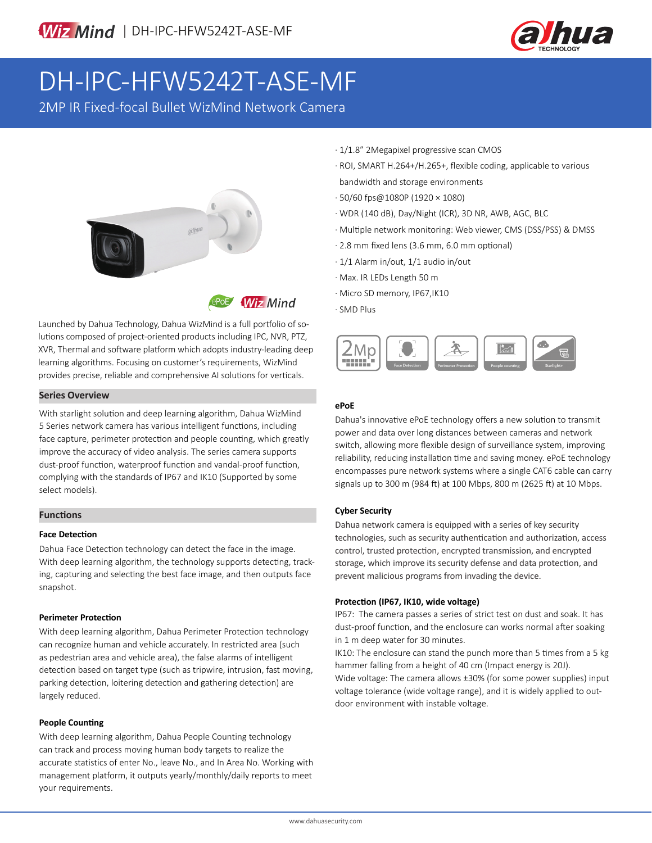

# DH-IPC-HFW5242T-ASE-MF

2MP IR Fixed-focal Bullet WizMind Network Camera



**Wiz Mind** 

Launched by Dahua Technology, Dahua WizMind is a full portfolio of solutions composed of project-oriented products including IPC, NVR, PTZ, XVR, Thermal and software platform which adopts industry-leading deep learning algorithms. Focusing on customer's requirements, WizMind provides precise, reliable and comprehensive AI solutions for verticals.

#### **Series Overview**

With starlight solution and deep learning algorithm, Dahua WizMind 5 Series network camera has various intelligent functions, including face capture, perimeter protection and people counting, which greatly improve the accuracy of video analysis. The series camera supports dust-proof function, waterproof function and vandal-proof function, complying with the standards of IP67 and IK10 (Supported by some select models).

#### **Functions**

#### **Face Detection**

Dahua Face Detection technology can detect the face in the image. With deep learning algorithm, the technology supports detecting, tracking, capturing and selecting the best face image, and then outputs face snapshot.

#### **Perimeter Protection**

With deep learning algorithm, Dahua Perimeter Protection technology can recognize human and vehicle accurately. In restricted area (such as pedestrian area and vehicle area), the false alarms of intelligent detection based on target type (such as tripwire, intrusion, fast moving, parking detection, loitering detection and gathering detection) are largely reduced.

#### **People Counting**

With deep learning algorithm, Dahua People Counting technology can track and process moving human body targets to realize the accurate statistics of enter No., leave No., and In Area No. Working with management platform, it outputs yearly/monthly/daily reports to meet your requirements.

- · 1/1.8" 2Megapixel progressive scan CMOS
- · ROI, SMART H.264+/H.265+, flexible coding, applicable to various bandwidth and storage environments
- · 50/60 fps@1080P (1920 × 1080)
- · WDR (140 dB), Day/Night (ICR), 3D NR, AWB, AGC, BLC
- · Multiple network monitoring: Web viewer, CMS (DSS/PSS) & DMSS
- · 2.8 mm fixed lens (3.6 mm, 6.0 mm optional)
- · 1/1 Alarm in/out, 1/1 audio in/out
- · Max. IR LEDs Length 50 m
- · Micro SD memory, IP67,IK10
- · SMD Plus



#### **ePoE**

Dahua's innovative ePoE technology offers a new solution to transmit power and data over long distances between cameras and network switch, allowing more flexible design of surveillance system, improving reliability, reducing installation time and saving money. ePoE technology encompasses pure network systems where a single CAT6 cable can carry signals up to 300 m (984 ft) at 100 Mbps, 800 m (2625 ft) at 10 Mbps.

#### **Cyber Security**

Dahua network camera is equipped with a series of key security technologies, such as security authentication and authorization, access control, trusted protection, encrypted transmission, and encrypted storage, which improve its security defense and data protection, and prevent malicious programs from invading the device.

#### **Protection (IP67, IK10, wide voltage)**

IP67: The camera passes a series of strict test on dust and soak. It has dust-proof function, and the enclosure can works normal after soaking in 1 m deep water for 30 minutes.

IK10: The enclosure can stand the punch more than 5 times from a 5 kg hammer falling from a height of 40 cm (Impact energy is 20J). Wide voltage: The camera allows ±30% (for some power supplies) input voltage tolerance (wide voltage range), and it is widely applied to outdoor environment with instable voltage.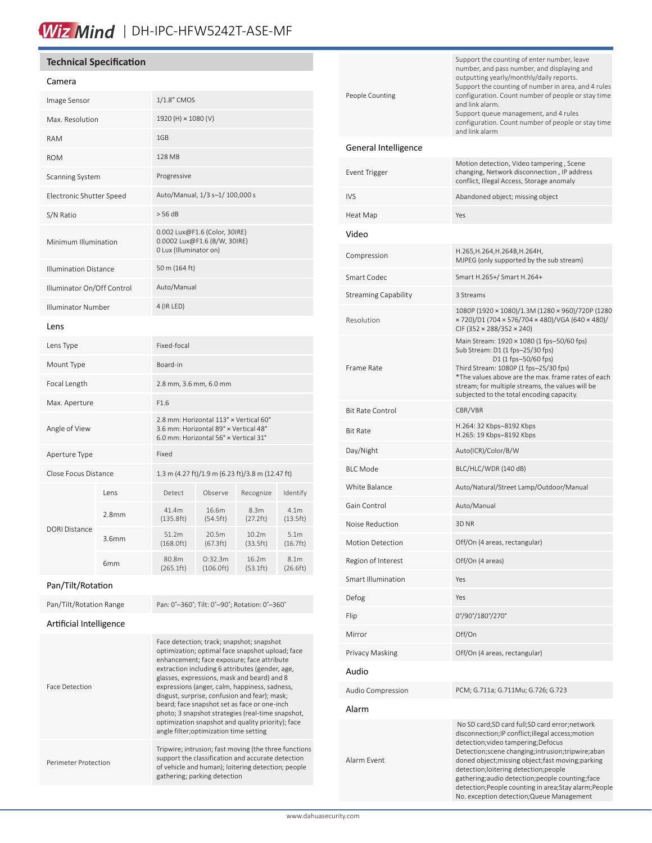# Wiz Mind | DH-IPC-HFW5242T-ASE-MF

#### **Technical Specification**

### Camera

| Cannera                      |                   |                                                                                                                          |                      |                               |                               |
|------------------------------|-------------------|--------------------------------------------------------------------------------------------------------------------------|----------------------|-------------------------------|-------------------------------|
| Image Sensor                 |                   | 1/1.8" CMOS                                                                                                              |                      |                               |                               |
| Max. Resolution              |                   | 1920 (H) × 1080 (V)                                                                                                      |                      |                               |                               |
| <b>RAM</b>                   |                   | 1GB                                                                                                                      |                      |                               |                               |
| <b>ROM</b>                   |                   | 128 MB                                                                                                                   |                      |                               |                               |
| Scanning System              |                   | Progressive                                                                                                              |                      |                               |                               |
| Electronic Shutter Speed     |                   | Auto/Manual, 1/3 s-1/ 100,000 s                                                                                          |                      |                               |                               |
| S/N Ratio                    |                   | > 56 dB                                                                                                                  |                      |                               |                               |
| Minimum Illumination         |                   | 0.002 Lux@F1.6 (Color, 30IRE)<br>0.0002 Lux@F1.6 (B/W, 30IRE)<br>0 Lux (Illuminator on)                                  |                      |                               |                               |
| <b>Illumination Distance</b> |                   | 50 m (164 ft)                                                                                                            |                      |                               |                               |
| Illuminator On/Off Control   |                   | Auto/Manual                                                                                                              |                      |                               |                               |
| <b>Illuminator Number</b>    |                   | 4 (IR LED)                                                                                                               |                      |                               |                               |
| Lens                         |                   |                                                                                                                          |                      |                               |                               |
| Lens Type                    |                   | Fixed-focal                                                                                                              |                      |                               |                               |
| Mount Type                   |                   | Board-in                                                                                                                 |                      |                               |                               |
| Focal Length                 |                   | 2.8 mm, 3.6 mm, 6.0 mm                                                                                                   |                      |                               |                               |
| Max. Aperture                |                   | F1.6                                                                                                                     |                      |                               |                               |
| Angle of View                |                   | 2.8 mm: Horizontal 113° x Vertical 60°<br>3.6 mm: Horizontal 89° x Vertical 48°<br>6.0 mm: Horizontal 56° x Vertical 31° |                      |                               |                               |
| Aperture Type                |                   | Fixed                                                                                                                    |                      |                               |                               |
| Close Focus Distance         |                   | 1.3 m (4.27 ft)/1.9 m (6.23 ft)/3.8 m (12.47 ft)                                                                         |                      |                               |                               |
| <b>DORI Distance</b>         | Lens              | Detect                                                                                                                   | Observe              | Recognize                     | Identify                      |
|                              | 2.8 <sub>mm</sub> | 41.4m<br>(135.8ft)                                                                                                       | 16.6m<br>(54.5ft)    | 8.3m<br>(27.2 ft)             | 4.1 <sub>m</sub><br>(13.5ft)  |
|                              | 3.6mm             | 51.2m<br>(168.0 ft)                                                                                                      | 20.5m<br>(67.3 ft)   | 10.2 <sub>m</sub><br>(33.5ft) | 5.1 <sub>m</sub><br>(16.7 ft) |
|                              | 6 <sub>mm</sub>   | 80.8m<br>(265.1ft)                                                                                                       | O:32.3m<br>(106.0ft) | 16.2m<br>(53.1ft)             | 8.1m<br>(26.6ft)              |
|                              |                   |                                                                                                                          |                      |                               |                               |

#### Pan/Tilt/Rotation

| Pan/Tilt/Rotation       |                                                                                                                                                                                                                                                                                                                                                                                                                                                                                                                                                      |
|-------------------------|------------------------------------------------------------------------------------------------------------------------------------------------------------------------------------------------------------------------------------------------------------------------------------------------------------------------------------------------------------------------------------------------------------------------------------------------------------------------------------------------------------------------------------------------------|
| Pan/Tilt/Rotation Range | Pan: 0°-360°; Tilt: 0°-90°; Rotation: 0°-360°                                                                                                                                                                                                                                                                                                                                                                                                                                                                                                        |
| Artificial Intelligence |                                                                                                                                                                                                                                                                                                                                                                                                                                                                                                                                                      |
| <b>Face Detection</b>   | Face detection; track; snapshot; snapshot<br>optimization; optimal face snapshot upload; face<br>enhancement; face exposure; face attribute<br>extraction including 6 attributes (gender, age,<br>glasses, expressions, mask and beard) and 8<br>expressions (anger, calm, happiness, sadness,<br>disgust, surprise, confusion and fear); mask;<br>beard; face snapshot set as face or one-inch<br>photo; 3 snapshot strategies (real-time snapshot,<br>optimization snapshot and quality priority); face<br>angle filter; optimization time setting |
| Perimeter Protection    | Tripwire; intrusion; fast moving (the three functions<br>support the classification and accurate detection<br>of vehicle and human); loitering detection; people<br>gathering; parking detection                                                                                                                                                                                                                                                                                                                                                     |
|                         |                                                                                                                                                                                                                                                                                                                                                                                                                                                                                                                                                      |

| People Counting             | Support the counting of enter number, leave<br>number, and pass number, and displaying and<br>outputting yearly/monthly/daily reports.<br>Support the counting of number in area, and 4 rules<br>configuration. Count number of people or stay time<br>and link alarm.<br>Support queue management, and 4 rules<br>configuration. Count number of people or stay time<br>and link alarm                                                                  |
|-----------------------------|----------------------------------------------------------------------------------------------------------------------------------------------------------------------------------------------------------------------------------------------------------------------------------------------------------------------------------------------------------------------------------------------------------------------------------------------------------|
| General Intelligence        |                                                                                                                                                                                                                                                                                                                                                                                                                                                          |
| Event Trigger               | Motion detection, Video tampering, Scene<br>changing, Network disconnection, IP address<br>conflict, Illegal Access, Storage anomaly                                                                                                                                                                                                                                                                                                                     |
| <b>IVS</b>                  | Abandoned object; missing object                                                                                                                                                                                                                                                                                                                                                                                                                         |
| Heat Map                    | Yes                                                                                                                                                                                                                                                                                                                                                                                                                                                      |
| Video                       |                                                                                                                                                                                                                                                                                                                                                                                                                                                          |
| Compression                 | H.265, H.264, H.264B, H.264H,<br>MJPEG (only supported by the sub stream)                                                                                                                                                                                                                                                                                                                                                                                |
| Smart Codec                 | Smart H.265+/ Smart H.264+                                                                                                                                                                                                                                                                                                                                                                                                                               |
| <b>Streaming Capability</b> | 3 Streams                                                                                                                                                                                                                                                                                                                                                                                                                                                |
| Resolution                  | 1080P (1920 × 1080)/1.3M (1280 × 960)/720P (1280<br>× 720)/D1 (704 × 576/704 × 480)/VGA (640 × 480)/<br>CIF (352 × 288/352 × 240)                                                                                                                                                                                                                                                                                                                        |
| Frame Rate                  | Main Stream: 1920 × 1080 (1 fps-50/60 fps)<br>Sub Stream: D1 (1 fps-25/30 fps)<br>D1 (1 fps-50/60 fps)<br>Third Stream: 1080P (1 fps-25/30 fps)<br>*The values above are the max. frame rates of each                                                                                                                                                                                                                                                    |
|                             | stream; for multiple streams, the values will be<br>subjected to the total encoding capacity.                                                                                                                                                                                                                                                                                                                                                            |
| <b>Bit Rate Control</b>     | CBR/VBR                                                                                                                                                                                                                                                                                                                                                                                                                                                  |
| <b>Bit Rate</b>             | H.264: 32 Kbps-8192 Kbps<br>H.265: 19 Kbps-8192 Kbps                                                                                                                                                                                                                                                                                                                                                                                                     |
| Day/Night                   | Auto(ICR)/Color/B/W                                                                                                                                                                                                                                                                                                                                                                                                                                      |
| <b>BLC Mode</b>             | BLC/HLC/WDR (140 dB)                                                                                                                                                                                                                                                                                                                                                                                                                                     |
| White Balance               | Auto/Natural/Street Lamp/Outdoor/Manual                                                                                                                                                                                                                                                                                                                                                                                                                  |
| Gain Control                | Auto/Manual                                                                                                                                                                                                                                                                                                                                                                                                                                              |
| Noise Reduction             | 3D <sub>NR</sub>                                                                                                                                                                                                                                                                                                                                                                                                                                         |
| <b>Motion Detection</b>     | Off/On (4 areas, rectangular)                                                                                                                                                                                                                                                                                                                                                                                                                            |
| Region of Interest          | Off/On (4 areas)                                                                                                                                                                                                                                                                                                                                                                                                                                         |
| Smart Illumination          | Yes                                                                                                                                                                                                                                                                                                                                                                                                                                                      |
| Defog                       | Yes                                                                                                                                                                                                                                                                                                                                                                                                                                                      |
| Flip                        | 0°/90°/180°/270°                                                                                                                                                                                                                                                                                                                                                                                                                                         |
| Mirror                      | Off/On                                                                                                                                                                                                                                                                                                                                                                                                                                                   |
| Privacy Masking             | Off/On (4 areas, rectangular)                                                                                                                                                                                                                                                                                                                                                                                                                            |
| Audio                       |                                                                                                                                                                                                                                                                                                                                                                                                                                                          |
| Audio Compression           | PCM; G.711a; G.711Mu; G.726; G.723                                                                                                                                                                                                                                                                                                                                                                                                                       |
| Alarm                       |                                                                                                                                                                                                                                                                                                                                                                                                                                                          |
| Alarm Event                 | No SD card; SD card full; SD card error; network<br>disconnection;IP conflict;illegal access;motion<br>detection; video tampering; Defocus<br>Detection; scene changing; intrusion; tripwire; aban<br>doned object;missing object;fast moving;parking<br>detection; loitering detection; people<br>gathering;audio detection;people counting;face<br>detection; People counting in area; Stay alarm; People<br>No. exception detection; Queue Management |